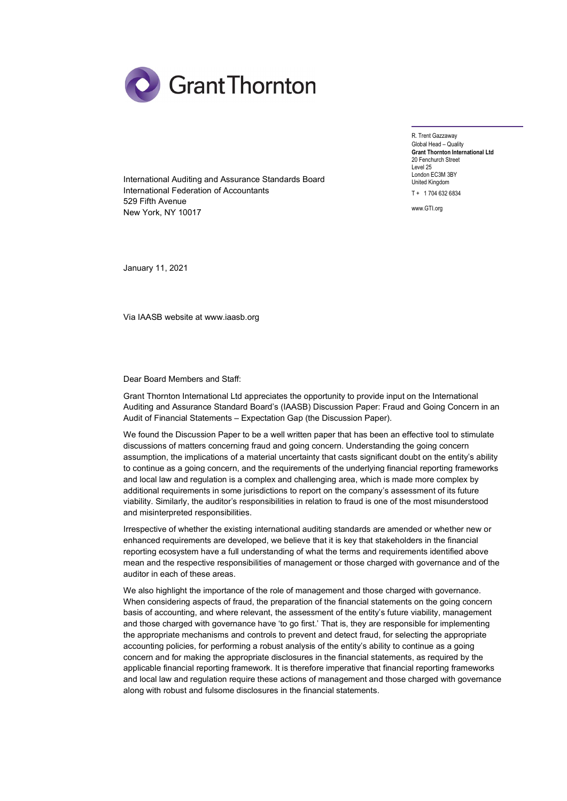

International Auditing and Assurance Standards Board International Federation of Accountants 529 Fifth Avenue New York, NY 10017

R. Trent Gazzaway Global Head – Quality Grant Thornton International Ltd 20 Fenchurch Street Level 25 London EC3M 3BY United Kingdom T + 1 704 632 6834

www.GTI.org

January 11, 2021

Via IAASB website at www.iaasb.org

Dear Board Members and Staff:

Grant Thornton International Ltd appreciates the opportunity to provide input on the International Auditing and Assurance Standard Board's (IAASB) Discussion Paper: Fraud and Going Concern in an Audit of Financial Statements – Expectation Gap (the Discussion Paper).

We found the Discussion Paper to be a well written paper that has been an effective tool to stimulate discussions of matters concerning fraud and going concern. Understanding the going concern assumption, the implications of a material uncertainty that casts significant doubt on the entity's ability to continue as a going concern, and the requirements of the underlying financial reporting frameworks and local law and regulation is a complex and challenging area, which is made more complex by additional requirements in some jurisdictions to report on the company's assessment of its future viability. Similarly, the auditor's responsibilities in relation to fraud is one of the most misunderstood and misinterpreted responsibilities.

Irrespective of whether the existing international auditing standards are amended or whether new or enhanced requirements are developed, we believe that it is key that stakeholders in the financial reporting ecosystem have a full understanding of what the terms and requirements identified above mean and the respective responsibilities of management or those charged with governance and of the auditor in each of these areas.

We also highlight the importance of the role of management and those charged with governance. When considering aspects of fraud, the preparation of the financial statements on the going concern basis of accounting, and where relevant, the assessment of the entity's future viability, management and those charged with governance have 'to go first.' That is, they are responsible for implementing the appropriate mechanisms and controls to prevent and detect fraud, for selecting the appropriate accounting policies, for performing a robust analysis of the entity's ability to continue as a going concern and for making the appropriate disclosures in the financial statements, as required by the applicable financial reporting framework. It is therefore imperative that financial reporting frameworks and local law and regulation require these actions of management and those charged with governance along with robust and fulsome disclosures in the financial statements.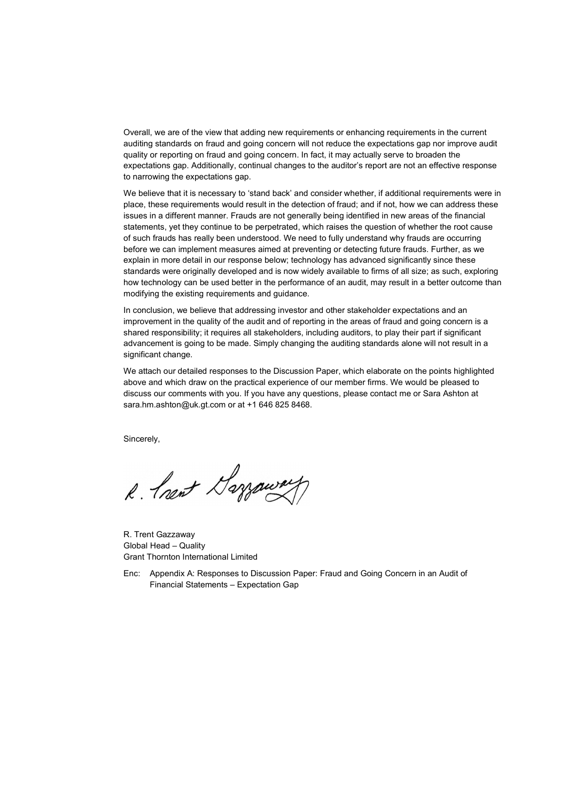Overall, we are of the view that adding new requirements or enhancing requirements in the current auditing standards on fraud and going concern will not reduce the expectations gap nor improve audit quality or reporting on fraud and going concern. In fact, it may actually serve to broaden the expectations gap. Additionally, continual changes to the auditor's report are not an effective response to narrowing the expectations gap.

We believe that it is necessary to 'stand back' and consider whether, if additional requirements were in place, these requirements would result in the detection of fraud; and if not, how we can address these issues in a different manner. Frauds are not generally being identified in new areas of the financial statements, yet they continue to be perpetrated, which raises the question of whether the root cause of such frauds has really been understood. We need to fully understand why frauds are occurring before we can implement measures aimed at preventing or detecting future frauds. Further, as we explain in more detail in our response below; technology has advanced significantly since these standards were originally developed and is now widely available to firms of all size; as such, exploring how technology can be used better in the performance of an audit, may result in a better outcome than modifying the existing requirements and guidance.

In conclusion, we believe that addressing investor and other stakeholder expectations and an improvement in the quality of the audit and of reporting in the areas of fraud and going concern is a shared responsibility; it requires all stakeholders, including auditors, to play their part if significant advancement is going to be made. Simply changing the auditing standards alone will not result in a significant change.

We attach our detailed responses to the Discussion Paper, which elaborate on the points highlighted above and which draw on the practical experience of our member firms. We would be pleased to discuss our comments with you. If you have any questions, please contact me or Sara Ashton at sara.hm.ashton@uk.gt.com or at +1 646 825 8468.

Sincerely,

R. Prent Garroway

R. Trent Gazzaway Global Head – Quality Grant Thornton International Limited

Enc: Appendix A: Responses to Discussion Paper: Fraud and Going Concern in an Audit of Financial Statements – Expectation Gap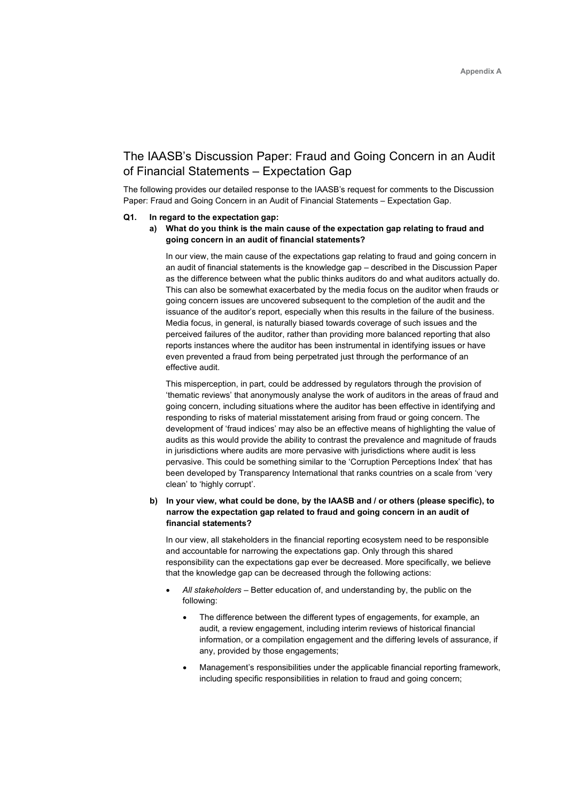# The IAASB's Discussion Paper: Fraud and Going Concern in an Audit of Financial Statements – Expectation Gap

The following provides our detailed response to the IAASB's request for comments to the Discussion Paper: Fraud and Going Concern in an Audit of Financial Statements – Expectation Gap.

## Q1. In regard to the expectation gap:

a) What do you think is the main cause of the expectation gap relating to fraud and going concern in an audit of financial statements?

In our view, the main cause of the expectations gap relating to fraud and going concern in an audit of financial statements is the knowledge gap – described in the Discussion Paper as the difference between what the public thinks auditors do and what auditors actually do. This can also be somewhat exacerbated by the media focus on the auditor when frauds or going concern issues are uncovered subsequent to the completion of the audit and the issuance of the auditor's report, especially when this results in the failure of the business. Media focus, in general, is naturally biased towards coverage of such issues and the perceived failures of the auditor, rather than providing more balanced reporting that also reports instances where the auditor has been instrumental in identifying issues or have even prevented a fraud from being perpetrated just through the performance of an effective audit.

This misperception, in part, could be addressed by regulators through the provision of 'thematic reviews' that anonymously analyse the work of auditors in the areas of fraud and going concern, including situations where the auditor has been effective in identifying and responding to risks of material misstatement arising from fraud or going concern. The development of 'fraud indices' may also be an effective means of highlighting the value of audits as this would provide the ability to contrast the prevalence and magnitude of frauds in jurisdictions where audits are more pervasive with jurisdictions where audit is less pervasive. This could be something similar to the 'Corruption Perceptions Index' that has been developed by Transparency International that ranks countries on a scale from 'very clean' to 'highly corrupt'.

# b) In your view, what could be done, by the IAASB and / or others (please specific), to narrow the expectation gap related to fraud and going concern in an audit of financial statements?

In our view, all stakeholders in the financial reporting ecosystem need to be responsible and accountable for narrowing the expectations gap. Only through this shared responsibility can the expectations gap ever be decreased. More specifically, we believe that the knowledge gap can be decreased through the following actions:

- All stakeholders Better education of, and understanding by, the public on the following:
	- The difference between the different types of engagements, for example, an audit, a review engagement, including interim reviews of historical financial information, or a compilation engagement and the differing levels of assurance, if any, provided by those engagements;
	- Management's responsibilities under the applicable financial reporting framework, including specific responsibilities in relation to fraud and going concern;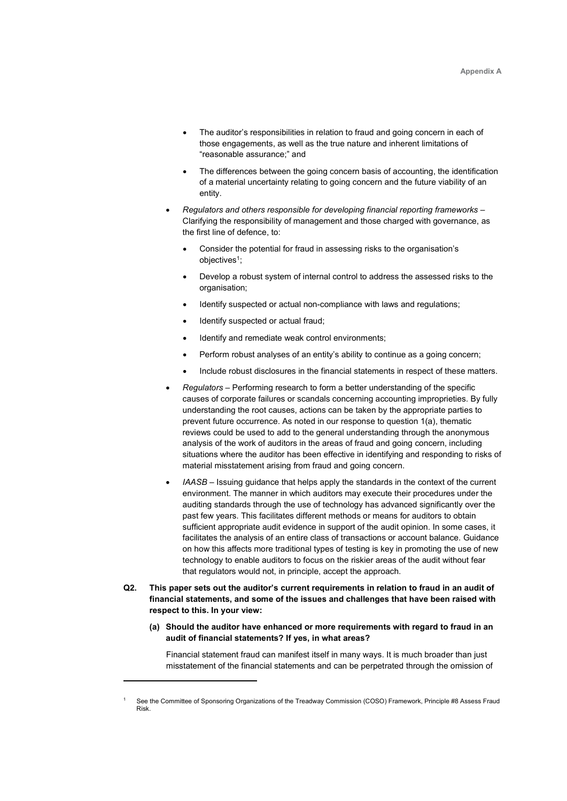- The auditor's responsibilities in relation to fraud and going concern in each of those engagements, as well as the true nature and inherent limitations of "reasonable assurance;" and
- The differences between the going concern basis of accounting, the identification of a material uncertainty relating to going concern and the future viability of an entity.
- Regulators and others responsible for developing financial reporting frameworks Clarifying the responsibility of management and those charged with governance, as the first line of defence, to:
	- Consider the potential for fraud in assessing risks to the organisation's objectives<sup>1</sup>;
	- Develop a robust system of internal control to address the assessed risks to the organisation:
	- Identify suspected or actual non-compliance with laws and regulations;
	- Identify suspected or actual fraud;
	- Identify and remediate weak control environments;
	- Perform robust analyses of an entity's ability to continue as a going concern;
	- Include robust disclosures in the financial statements in respect of these matters.
- Regulators Performing research to form a better understanding of the specific causes of corporate failures or scandals concerning accounting improprieties. By fully understanding the root causes, actions can be taken by the appropriate parties to prevent future occurrence. As noted in our response to question 1(a), thematic reviews could be used to add to the general understanding through the anonymous analysis of the work of auditors in the areas of fraud and going concern, including situations where the auditor has been effective in identifying and responding to risks of material misstatement arising from fraud and going concern.
- IAASB Issuing guidance that helps apply the standards in the context of the current environment. The manner in which auditors may execute their procedures under the auditing standards through the use of technology has advanced significantly over the past few years. This facilitates different methods or means for auditors to obtain sufficient appropriate audit evidence in support of the audit opinion. In some cases, it facilitates the analysis of an entire class of transactions or account balance. Guidance on how this affects more traditional types of testing is key in promoting the use of new technology to enable auditors to focus on the riskier areas of the audit without fear that regulators would not, in principle, accept the approach.
- Q2. This paper sets out the auditor's current requirements in relation to fraud in an audit of financial statements, and some of the issues and challenges that have been raised with respect to this. In your view:
	- (a) Should the auditor have enhanced or more requirements with regard to fraud in an audit of financial statements? If yes, in what areas?

Financial statement fraud can manifest itself in many ways. It is much broader than just misstatement of the financial statements and can be perpetrated through the omission of

<sup>1</sup> See the Committee of Sponsoring Organizations of the Treadway Commission (COSO) Framework, Principle #8 Assess Fraud Risk.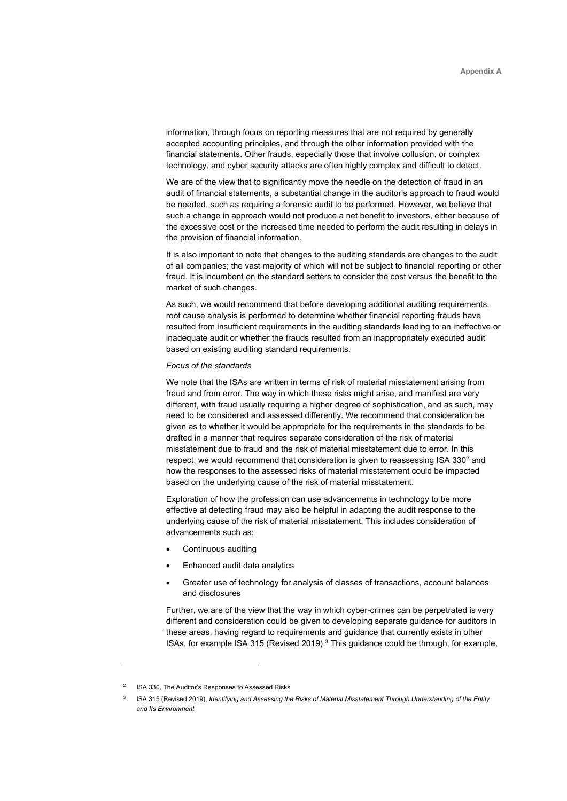information, through focus on reporting measures that are not required by generally accepted accounting principles, and through the other information provided with the financial statements. Other frauds, especially those that involve collusion, or complex technology, and cyber security attacks are often highly complex and difficult to detect.

We are of the view that to significantly move the needle on the detection of fraud in an audit of financial statements, a substantial change in the auditor's approach to fraud would be needed, such as requiring a forensic audit to be performed. However, we believe that such a change in approach would not produce a net benefit to investors, either because of the excessive cost or the increased time needed to perform the audit resulting in delays in the provision of financial information.

It is also important to note that changes to the auditing standards are changes to the audit of all companies; the vast majority of which will not be subject to financial reporting or other fraud. It is incumbent on the standard setters to consider the cost versus the benefit to the market of such changes.

As such, we would recommend that before developing additional auditing requirements, root cause analysis is performed to determine whether financial reporting frauds have resulted from insufficient requirements in the auditing standards leading to an ineffective or inadequate audit or whether the frauds resulted from an inappropriately executed audit based on existing auditing standard requirements.

#### Focus of the standards

We note that the ISAs are written in terms of risk of material misstatement arising from fraud and from error. The way in which these risks might arise, and manifest are very different, with fraud usually requiring a higher degree of sophistication, and as such, may need to be considered and assessed differently. We recommend that consideration be given as to whether it would be appropriate for the requirements in the standards to be drafted in a manner that requires separate consideration of the risk of material misstatement due to fraud and the risk of material misstatement due to error. In this respect, we would recommend that consideration is given to reassessing ISA 330<sup>2</sup> and how the responses to the assessed risks of material misstatement could be impacted based on the underlying cause of the risk of material misstatement.

Exploration of how the profession can use advancements in technology to be more effective at detecting fraud may also be helpful in adapting the audit response to the underlying cause of the risk of material misstatement. This includes consideration of advancements such as:

- Continuous auditing
- Enhanced audit data analytics
- Greater use of technology for analysis of classes of transactions, account balances and disclosures

Further, we are of the view that the way in which cyber-crimes can be perpetrated is very different and consideration could be given to developing separate guidance for auditors in these areas, having regard to requirements and guidance that currently exists in other ISAs, for example ISA 315 (Revised 2019).<sup>3</sup> This guidance could be through, for example,

<sup>2</sup> ISA 330, The Auditor's Responses to Assessed Risks

<sup>3</sup> ISA 315 (Revised 2019), Identifying and Assessing the Risks of Material Misstatement Through Understanding of the Entity and Its Environment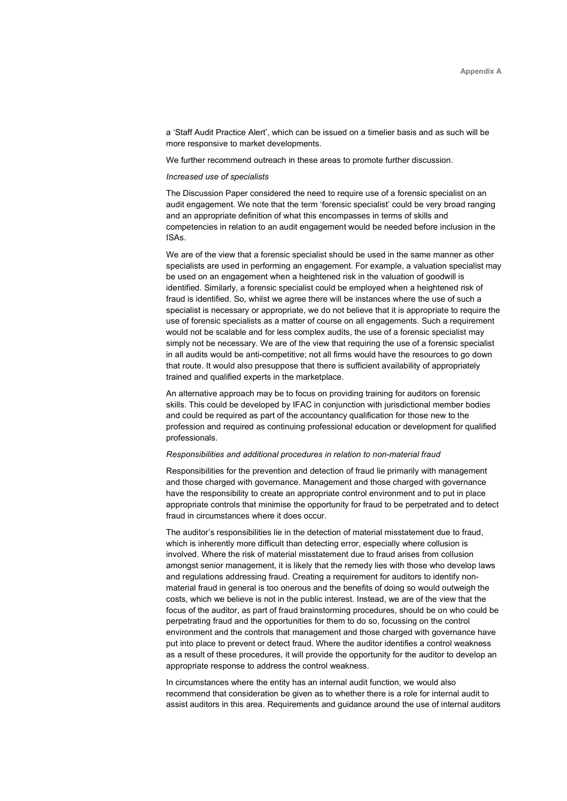a 'Staff Audit Practice Alert', which can be issued on a timelier basis and as such will be more responsive to market developments.

We further recommend outreach in these areas to promote further discussion.

#### Increased use of specialists

The Discussion Paper considered the need to require use of a forensic specialist on an audit engagement. We note that the term 'forensic specialist' could be very broad ranging and an appropriate definition of what this encompasses in terms of skills and competencies in relation to an audit engagement would be needed before inclusion in the ISAs.

We are of the view that a forensic specialist should be used in the same manner as other specialists are used in performing an engagement. For example, a valuation specialist may be used on an engagement when a heightened risk in the valuation of goodwill is identified. Similarly, a forensic specialist could be employed when a heightened risk of fraud is identified. So, whilst we agree there will be instances where the use of such a specialist is necessary or appropriate, we do not believe that it is appropriate to require the use of forensic specialists as a matter of course on all engagements. Such a requirement would not be scalable and for less complex audits, the use of a forensic specialist may simply not be necessary. We are of the view that requiring the use of a forensic specialist in all audits would be anti-competitive; not all firms would have the resources to go down that route. It would also presuppose that there is sufficient availability of appropriately trained and qualified experts in the marketplace.

An alternative approach may be to focus on providing training for auditors on forensic skills. This could be developed by IFAC in conjunction with jurisdictional member bodies and could be required as part of the accountancy qualification for those new to the profession and required as continuing professional education or development for qualified professionals.

#### Responsibilities and additional procedures in relation to non-material fraud

Responsibilities for the prevention and detection of fraud lie primarily with management and those charged with governance. Management and those charged with governance have the responsibility to create an appropriate control environment and to put in place appropriate controls that minimise the opportunity for fraud to be perpetrated and to detect fraud in circumstances where it does occur.

The auditor's responsibilities lie in the detection of material misstatement due to fraud, which is inherently more difficult than detecting error, especially where collusion is involved. Where the risk of material misstatement due to fraud arises from collusion amongst senior management, it is likely that the remedy lies with those who develop laws and regulations addressing fraud. Creating a requirement for auditors to identify nonmaterial fraud in general is too onerous and the benefits of doing so would outweigh the costs, which we believe is not in the public interest. Instead, we are of the view that the focus of the auditor, as part of fraud brainstorming procedures, should be on who could be perpetrating fraud and the opportunities for them to do so, focussing on the control environment and the controls that management and those charged with governance have put into place to prevent or detect fraud. Where the auditor identifies a control weakness as a result of these procedures, it will provide the opportunity for the auditor to develop an appropriate response to address the control weakness.

In circumstances where the entity has an internal audit function, we would also recommend that consideration be given as to whether there is a role for internal audit to assist auditors in this area. Requirements and guidance around the use of internal auditors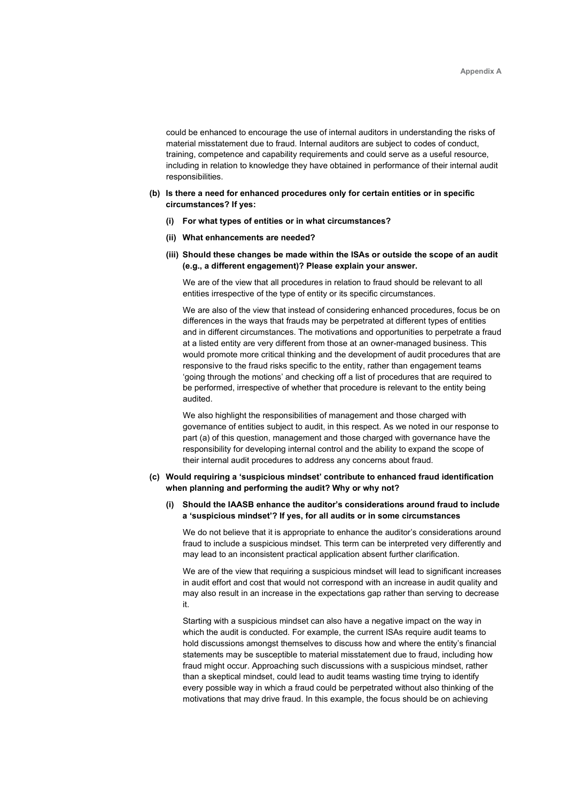could be enhanced to encourage the use of internal auditors in understanding the risks of material misstatement due to fraud. Internal auditors are subject to codes of conduct, training, competence and capability requirements and could serve as a useful resource, including in relation to knowledge they have obtained in performance of their internal audit responsibilities.

## (b) Is there a need for enhanced procedures only for certain entities or in specific circumstances? If yes:

- (i) For what types of entities or in what circumstances?
- (ii) What enhancements are needed?
- (iii) Should these changes be made within the ISAs or outside the scope of an audit (e.g., a different engagement)? Please explain your answer.

We are of the view that all procedures in relation to fraud should be relevant to all entities irrespective of the type of entity or its specific circumstances.

We are also of the view that instead of considering enhanced procedures, focus be on differences in the ways that frauds may be perpetrated at different types of entities and in different circumstances. The motivations and opportunities to perpetrate a fraud at a listed entity are very different from those at an owner-managed business. This would promote more critical thinking and the development of audit procedures that are responsive to the fraud risks specific to the entity, rather than engagement teams 'going through the motions' and checking off a list of procedures that are required to be performed, irrespective of whether that procedure is relevant to the entity being audited.

We also highlight the responsibilities of management and those charged with governance of entities subject to audit, in this respect. As we noted in our response to part (a) of this question, management and those charged with governance have the responsibility for developing internal control and the ability to expand the scope of their internal audit procedures to address any concerns about fraud.

## (c) Would requiring a 'suspicious mindset' contribute to enhanced fraud identification when planning and performing the audit? Why or why not?

# (i) Should the IAASB enhance the auditor's considerations around fraud to include a 'suspicious mindset'? If yes, for all audits or in some circumstances

We do not believe that it is appropriate to enhance the auditor's considerations around fraud to include a suspicious mindset. This term can be interpreted very differently and may lead to an inconsistent practical application absent further clarification.

We are of the view that requiring a suspicious mindset will lead to significant increases in audit effort and cost that would not correspond with an increase in audit quality and may also result in an increase in the expectations gap rather than serving to decrease it.

Starting with a suspicious mindset can also have a negative impact on the way in which the audit is conducted. For example, the current ISAs require audit teams to hold discussions amongst themselves to discuss how and where the entity's financial statements may be susceptible to material misstatement due to fraud, including how fraud might occur. Approaching such discussions with a suspicious mindset, rather than a skeptical mindset, could lead to audit teams wasting time trying to identify every possible way in which a fraud could be perpetrated without also thinking of the motivations that may drive fraud. In this example, the focus should be on achieving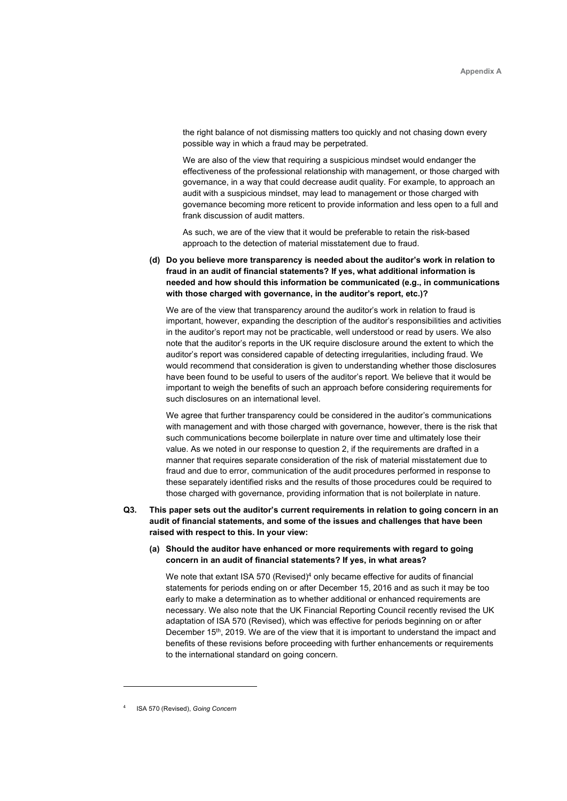the right balance of not dismissing matters too quickly and not chasing down every possible way in which a fraud may be perpetrated.

We are also of the view that requiring a suspicious mindset would endanger the effectiveness of the professional relationship with management, or those charged with governance, in a way that could decrease audit quality. For example, to approach an audit with a suspicious mindset, may lead to management or those charged with governance becoming more reticent to provide information and less open to a full and frank discussion of audit matters.

As such, we are of the view that it would be preferable to retain the risk-based approach to the detection of material misstatement due to fraud.

(d) Do you believe more transparency is needed about the auditor's work in relation to fraud in an audit of financial statements? If yes, what additional information is needed and how should this information be communicated (e.g., in communications with those charged with governance, in the auditor's report, etc.)?

We are of the view that transparency around the auditor's work in relation to fraud is important, however, expanding the description of the auditor's responsibilities and activities in the auditor's report may not be practicable, well understood or read by users. We also note that the auditor's reports in the UK require disclosure around the extent to which the auditor's report was considered capable of detecting irregularities, including fraud. We would recommend that consideration is given to understanding whether those disclosures have been found to be useful to users of the auditor's report. We believe that it would be important to weigh the benefits of such an approach before considering requirements for such disclosures on an international level.

We agree that further transparency could be considered in the auditor's communications with management and with those charged with governance, however, there is the risk that such communications become boilerplate in nature over time and ultimately lose their value. As we noted in our response to question 2, if the requirements are drafted in a manner that requires separate consideration of the risk of material misstatement due to fraud and due to error, communication of the audit procedures performed in response to these separately identified risks and the results of those procedures could be required to those charged with governance, providing information that is not boilerplate in nature.

# Q3. This paper sets out the auditor's current requirements in relation to going concern in an audit of financial statements, and some of the issues and challenges that have been raised with respect to this. In your view:

(a) Should the auditor have enhanced or more requirements with regard to going concern in an audit of financial statements? If yes, in what areas?

We note that extant ISA 570 (Revised) $4$  only became effective for audits of financial statements for periods ending on or after December 15, 2016 and as such it may be too early to make a determination as to whether additional or enhanced requirements are necessary. We also note that the UK Financial Reporting Council recently revised the UK adaptation of ISA 570 (Revised), which was effective for periods beginning on or after December 15<sup>th</sup>, 2019. We are of the view that it is important to understand the impact and benefits of these revisions before proceeding with further enhancements or requirements to the international standard on going concern.

<sup>4</sup> ISA 570 (Revised), Going Concern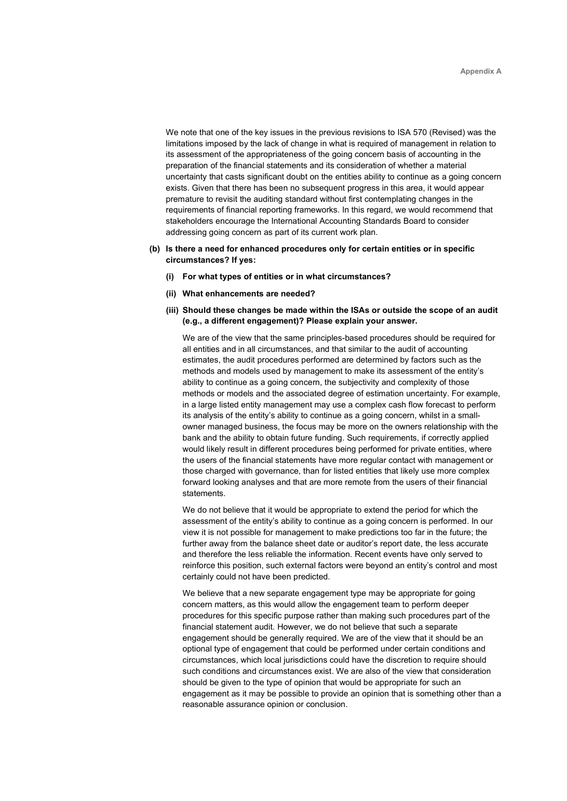We note that one of the key issues in the previous revisions to ISA 570 (Revised) was the limitations imposed by the lack of change in what is required of management in relation to its assessment of the appropriateness of the going concern basis of accounting in the preparation of the financial statements and its consideration of whether a material uncertainty that casts significant doubt on the entities ability to continue as a going concern exists. Given that there has been no subsequent progress in this area, it would appear premature to revisit the auditing standard without first contemplating changes in the requirements of financial reporting frameworks. In this regard, we would recommend that stakeholders encourage the International Accounting Standards Board to consider addressing going concern as part of its current work plan.

- (b) Is there a need for enhanced procedures only for certain entities or in specific circumstances? If yes:
	- (i) For what types of entities or in what circumstances?
	- (ii) What enhancements are needed?
	- (iii) Should these changes be made within the ISAs or outside the scope of an audit (e.g., a different engagement)? Please explain your answer.

We are of the view that the same principles-based procedures should be required for all entities and in all circumstances, and that similar to the audit of accounting estimates, the audit procedures performed are determined by factors such as the methods and models used by management to make its assessment of the entity's ability to continue as a going concern, the subjectivity and complexity of those methods or models and the associated degree of estimation uncertainty. For example, in a large listed entity management may use a complex cash flow forecast to perform its analysis of the entity's ability to continue as a going concern, whilst in a smallowner managed business, the focus may be more on the owners relationship with the bank and the ability to obtain future funding. Such requirements, if correctly applied would likely result in different procedures being performed for private entities, where the users of the financial statements have more regular contact with management or those charged with governance, than for listed entities that likely use more complex forward looking analyses and that are more remote from the users of their financial statements.

We do not believe that it would be appropriate to extend the period for which the assessment of the entity's ability to continue as a going concern is performed. In our view it is not possible for management to make predictions too far in the future; the further away from the balance sheet date or auditor's report date, the less accurate and therefore the less reliable the information. Recent events have only served to reinforce this position, such external factors were beyond an entity's control and most certainly could not have been predicted.

We believe that a new separate engagement type may be appropriate for going concern matters, as this would allow the engagement team to perform deeper procedures for this specific purpose rather than making such procedures part of the financial statement audit. However, we do not believe that such a separate engagement should be generally required. We are of the view that it should be an optional type of engagement that could be performed under certain conditions and circumstances, which local jurisdictions could have the discretion to require should such conditions and circumstances exist. We are also of the view that consideration should be given to the type of opinion that would be appropriate for such an engagement as it may be possible to provide an opinion that is something other than a reasonable assurance opinion or conclusion.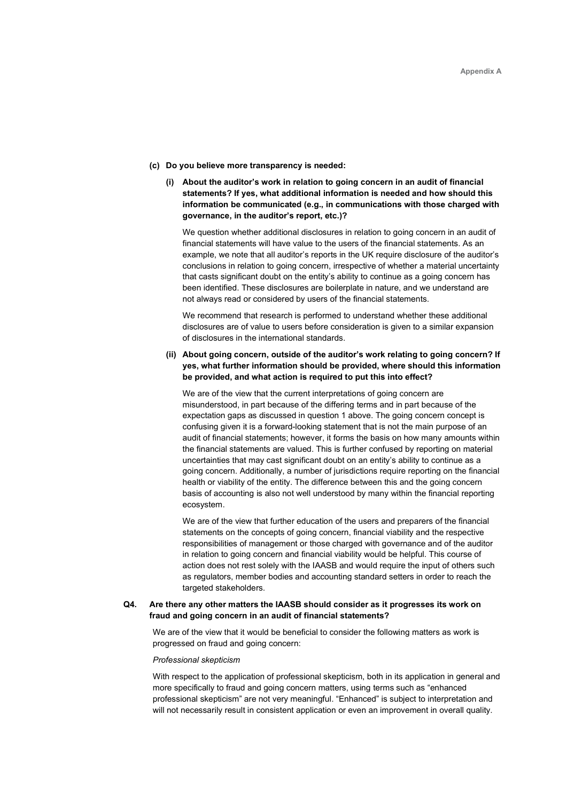- (c) Do you believe more transparency is needed:
	- (i) About the auditor's work in relation to going concern in an audit of financial statements? If yes, what additional information is needed and how should this information be communicated (e.g., in communications with those charged with governance, in the auditor's report, etc.)?

We question whether additional disclosures in relation to going concern in an audit of financial statements will have value to the users of the financial statements. As an example, we note that all auditor's reports in the UK require disclosure of the auditor's conclusions in relation to going concern, irrespective of whether a material uncertainty that casts significant doubt on the entity's ability to continue as a going concern has been identified. These disclosures are boilerplate in nature, and we understand are not always read or considered by users of the financial statements.

We recommend that research is performed to understand whether these additional disclosures are of value to users before consideration is given to a similar expansion of disclosures in the international standards.

(ii) About going concern, outside of the auditor's work relating to going concern? If yes, what further information should be provided, where should this information be provided, and what action is required to put this into effect?

We are of the view that the current interpretations of going concern are misunderstood, in part because of the differing terms and in part because of the expectation gaps as discussed in question 1 above. The going concern concept is confusing given it is a forward-looking statement that is not the main purpose of an audit of financial statements; however, it forms the basis on how many amounts within the financial statements are valued. This is further confused by reporting on material uncertainties that may cast significant doubt on an entity's ability to continue as a going concern. Additionally, a number of jurisdictions require reporting on the financial health or viability of the entity. The difference between this and the going concern basis of accounting is also not well understood by many within the financial reporting ecosystem.

We are of the view that further education of the users and preparers of the financial statements on the concepts of going concern, financial viability and the respective responsibilities of management or those charged with governance and of the auditor in relation to going concern and financial viability would be helpful. This course of action does not rest solely with the IAASB and would require the input of others such as regulators, member bodies and accounting standard setters in order to reach the targeted stakeholders.

## Q4. Are there any other matters the IAASB should consider as it progresses its work on fraud and going concern in an audit of financial statements?

We are of the view that it would be beneficial to consider the following matters as work is progressed on fraud and going concern:

## Professional skepticism

With respect to the application of professional skepticism, both in its application in general and more specifically to fraud and going concern matters, using terms such as "enhanced professional skepticism" are not very meaningful. "Enhanced" is subject to interpretation and will not necessarily result in consistent application or even an improvement in overall quality.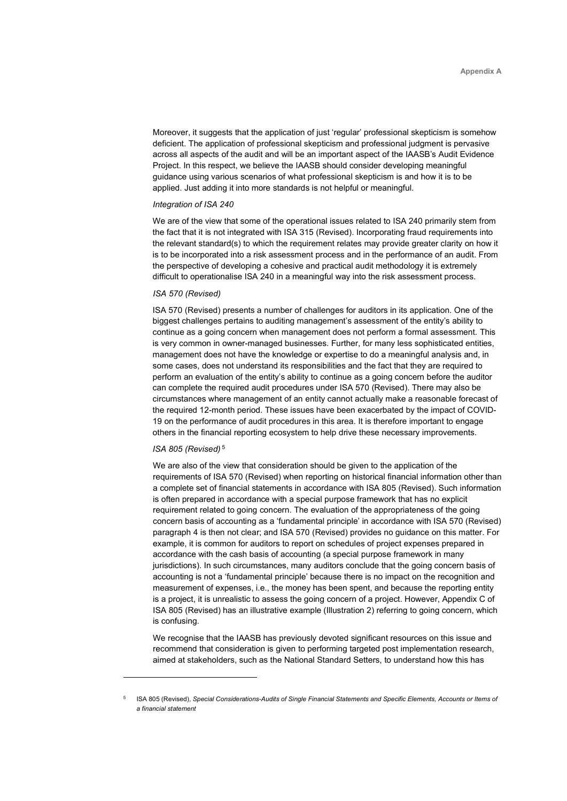Moreover, it suggests that the application of just 'regular' professional skepticism is somehow deficient. The application of professional skepticism and professional judgment is pervasive across all aspects of the audit and will be an important aspect of the IAASB's Audit Evidence Project. In this respect, we believe the IAASB should consider developing meaningful guidance using various scenarios of what professional skepticism is and how it is to be applied. Just adding it into more standards is not helpful or meaningful.

## Integration of ISA 240

We are of the view that some of the operational issues related to ISA 240 primarily stem from the fact that it is not integrated with ISA 315 (Revised). Incorporating fraud requirements into the relevant standard(s) to which the requirement relates may provide greater clarity on how it is to be incorporated into a risk assessment process and in the performance of an audit. From the perspective of developing a cohesive and practical audit methodology it is extremely difficult to operationalise ISA 240 in a meaningful way into the risk assessment process.

## ISA 570 (Revised)

ISA 570 (Revised) presents a number of challenges for auditors in its application. One of the biggest challenges pertains to auditing management's assessment of the entity's ability to continue as a going concern when management does not perform a formal assessment. This is very common in owner-managed businesses. Further, for many less sophisticated entities, management does not have the knowledge or expertise to do a meaningful analysis and, in some cases, does not understand its responsibilities and the fact that they are required to perform an evaluation of the entity's ability to continue as a going concern before the auditor can complete the required audit procedures under ISA 570 (Revised). There may also be circumstances where management of an entity cannot actually make a reasonable forecast of the required 12-month period. These issues have been exacerbated by the impact of COVID-19 on the performance of audit procedures in this area. It is therefore important to engage others in the financial reporting ecosystem to help drive these necessary improvements.

#### ISA 805 (Revised)<sup>5</sup>

We are also of the view that consideration should be given to the application of the requirements of ISA 570 (Revised) when reporting on historical financial information other than a complete set of financial statements in accordance with ISA 805 (Revised). Such information is often prepared in accordance with a special purpose framework that has no explicit requirement related to going concern. The evaluation of the appropriateness of the going concern basis of accounting as a 'fundamental principle' in accordance with ISA 570 (Revised) paragraph 4 is then not clear; and ISA 570 (Revised) provides no guidance on this matter. For example, it is common for auditors to report on schedules of project expenses prepared in accordance with the cash basis of accounting (a special purpose framework in many jurisdictions). In such circumstances, many auditors conclude that the going concern basis of accounting is not a 'fundamental principle' because there is no impact on the recognition and measurement of expenses, i.e., the money has been spent, and because the reporting entity is a project, it is unrealistic to assess the going concern of a project. However, Appendix C of ISA 805 (Revised) has an illustrative example (Illustration 2) referring to going concern, which is confusing.

We recognise that the IAASB has previously devoted significant resources on this issue and recommend that consideration is given to performing targeted post implementation research, aimed at stakeholders, such as the National Standard Setters, to understand how this has

<sup>5</sup> ISA 805 (Revised), Special Considerations-Audits of Single Financial Statements and Specific Elements, Accounts or Items of a financial statement